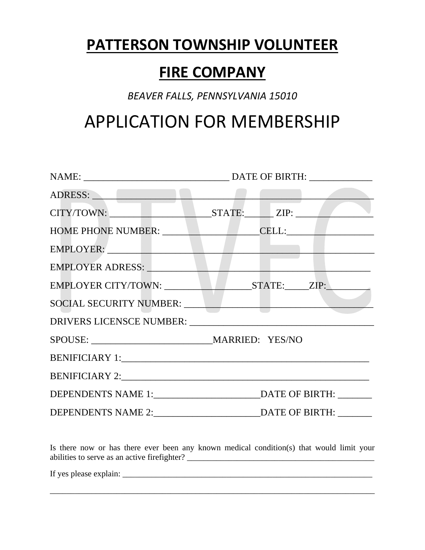## **PATTERSON TOWNSHIP VOLUNTEER**

## **FIRE COMPANY**

## *BEAVER FALLS, PENNSYLVANIA 15010*

## APPLICATION FOR MEMBERSHIP

| ADRESS:                                                                                                                                                                                                                       |  |  |
|-------------------------------------------------------------------------------------------------------------------------------------------------------------------------------------------------------------------------------|--|--|
| CITY/TOWN: STATE: ZIP:                                                                                                                                                                                                        |  |  |
| HOME PHONE NUMBER: CELL:                                                                                                                                                                                                      |  |  |
| EMPLOYER:                                                                                                                                                                                                                     |  |  |
| EMPLOYER ADRESS: NAMEL AND THE RESERVE OF THE RESERVE OF THE RESERVE OF THE RESERVE OF THE RESERVE OF THE RESERVE OF THE RESERVE OF THE RESERVE OF THE RESERVE OF THE RESERVE OF THE RESERVE OF THE RESERVE OF THE RESERVE OF |  |  |
| EMPLOYER CITY/TOWN: STATE: ZIP:                                                                                                                                                                                               |  |  |
|                                                                                                                                                                                                                               |  |  |
|                                                                                                                                                                                                                               |  |  |
|                                                                                                                                                                                                                               |  |  |
|                                                                                                                                                                                                                               |  |  |
|                                                                                                                                                                                                                               |  |  |
|                                                                                                                                                                                                                               |  |  |
|                                                                                                                                                                                                                               |  |  |

Is there now or has there ever been any known medical condition(s) that would limit your abilities to serve as an active firefighter? \_\_\_\_\_\_\_\_\_\_\_\_\_\_\_\_\_\_\_\_\_\_\_\_\_\_\_\_\_\_\_\_\_\_\_\_\_\_\_\_\_\_\_\_\_

\_\_\_\_\_\_\_\_\_\_\_\_\_\_\_\_\_\_\_\_\_\_\_\_\_\_\_\_\_\_\_\_\_\_\_\_\_\_\_\_\_\_\_\_\_\_\_\_\_\_\_\_\_\_\_\_\_\_\_\_\_\_\_\_\_\_\_\_\_\_\_\_\_\_\_\_\_\_

If yes please explain:  $\frac{1}{2}$  =  $\frac{1}{2}$  =  $\frac{1}{2}$  =  $\frac{1}{2}$  =  $\frac{1}{2}$  =  $\frac{1}{2}$  =  $\frac{1}{2}$  =  $\frac{1}{2}$  =  $\frac{1}{2}$  =  $\frac{1}{2}$  =  $\frac{1}{2}$  =  $\frac{1}{2}$  =  $\frac{1}{2}$  =  $\frac{1}{2}$  =  $\frac{1}{2}$  =  $\frac{1}{2}$  =  $\frac{1}{$